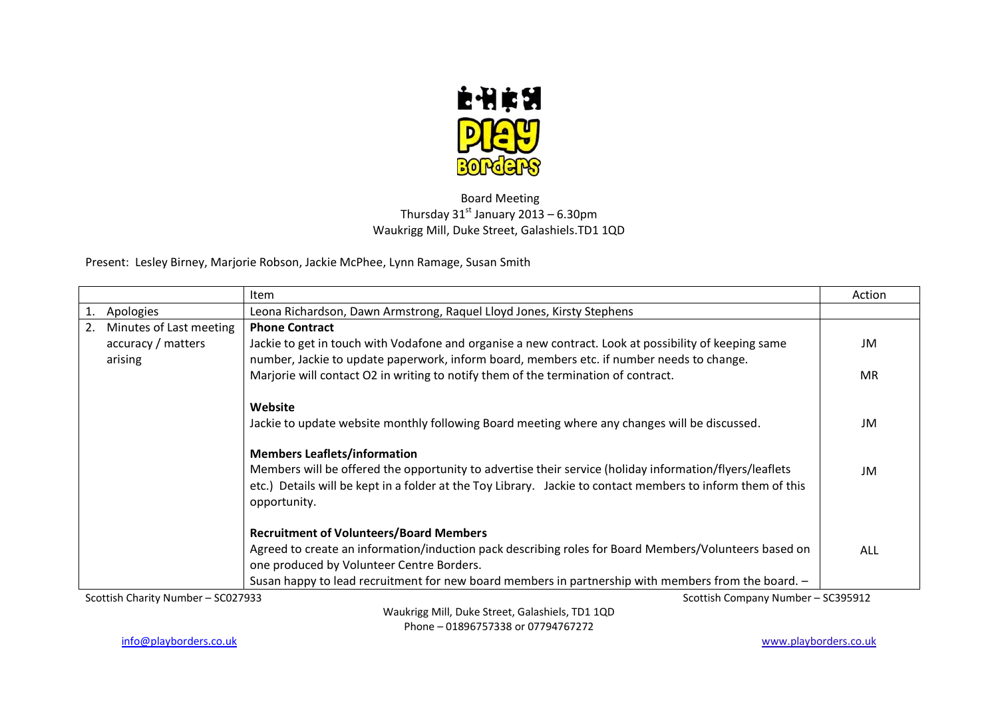

## Board Meeting Thursday  $31^{st}$  January 2013 – 6.30pm Waukrigg Mill, Duke Street, Galashiels.TD1 1QD

Present: Lesley Birney, Marjorie Robson, Jackie McPhee, Lynn Ramage, Susan Smith

|                                                                          |  | Item                                                                                                        | Action |
|--------------------------------------------------------------------------|--|-------------------------------------------------------------------------------------------------------------|--------|
| Apologies                                                                |  | Leona Richardson, Dawn Armstrong, Raquel Lloyd Jones, Kirsty Stephens                                       |        |
| Minutes of Last meeting<br>2.                                            |  | <b>Phone Contract</b>                                                                                       |        |
| accuracy / matters                                                       |  | Jackie to get in touch with Vodafone and organise a new contract. Look at possibility of keeping same       | JM     |
| arising                                                                  |  | number, Jackie to update paperwork, inform board, members etc. if number needs to change.                   |        |
|                                                                          |  | Marjorie will contact O2 in writing to notify them of the termination of contract.                          | MR     |
|                                                                          |  |                                                                                                             |        |
|                                                                          |  | Website                                                                                                     |        |
|                                                                          |  | Jackie to update website monthly following Board meeting where any changes will be discussed.               | JM     |
|                                                                          |  |                                                                                                             |        |
|                                                                          |  | <b>Members Leaflets/information</b>                                                                         |        |
|                                                                          |  | Members will be offered the opportunity to advertise their service (holiday information/flyers/leaflets     | JM     |
|                                                                          |  | etc.) Details will be kept in a folder at the Toy Library. Jackie to contact members to inform them of this |        |
|                                                                          |  | opportunity.                                                                                                |        |
|                                                                          |  |                                                                                                             |        |
|                                                                          |  | <b>Recruitment of Volunteers/Board Members</b>                                                              |        |
|                                                                          |  | Agreed to create an information/induction pack describing roles for Board Members/Volunteers based on       | ALL    |
|                                                                          |  | one produced by Volunteer Centre Borders.                                                                   |        |
|                                                                          |  | Susan happy to lead recruitment for new board members in partnership with members from the board. -         |        |
| Scottish Company Number - SC395912<br>Scottish Charity Number - SC027933 |  |                                                                                                             |        |

Waukrigg Mill, Duke Street, Galashiels, TD1 1QD Phone – 01896757338 or 07794767272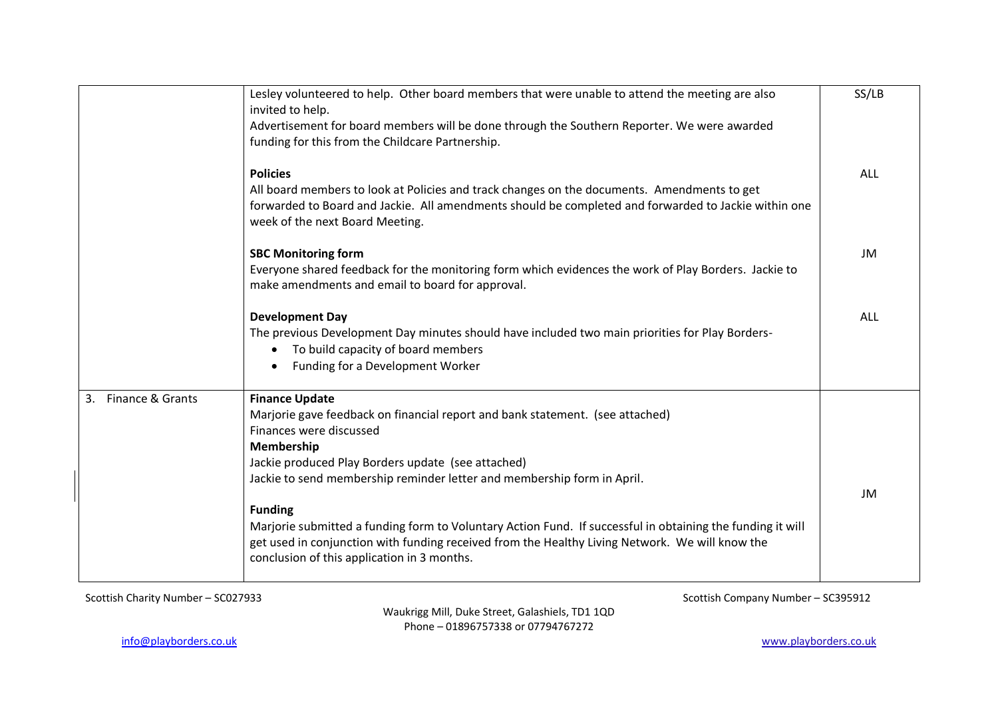|                        | Lesley volunteered to help. Other board members that were unable to attend the meeting are also<br>invited to help.                                                                                                                                                                                                                                                                                                                                                                                                                                                | SS/LB      |
|------------------------|--------------------------------------------------------------------------------------------------------------------------------------------------------------------------------------------------------------------------------------------------------------------------------------------------------------------------------------------------------------------------------------------------------------------------------------------------------------------------------------------------------------------------------------------------------------------|------------|
|                        | Advertisement for board members will be done through the Southern Reporter. We were awarded<br>funding for this from the Childcare Partnership.                                                                                                                                                                                                                                                                                                                                                                                                                    |            |
|                        | <b>Policies</b><br>All board members to look at Policies and track changes on the documents. Amendments to get<br>forwarded to Board and Jackie. All amendments should be completed and forwarded to Jackie within one<br>week of the next Board Meeting.                                                                                                                                                                                                                                                                                                          | <b>ALL</b> |
|                        | <b>SBC Monitoring form</b><br>Everyone shared feedback for the monitoring form which evidences the work of Play Borders. Jackie to<br>make amendments and email to board for approval.                                                                                                                                                                                                                                                                                                                                                                             | JM         |
|                        | <b>Development Day</b><br>The previous Development Day minutes should have included two main priorities for Play Borders-<br>To build capacity of board members<br>$\bullet$<br>Funding for a Development Worker<br>$\bullet$                                                                                                                                                                                                                                                                                                                                      | <b>ALL</b> |
| Finance & Grants<br>3. | <b>Finance Update</b><br>Marjorie gave feedback on financial report and bank statement. (see attached)<br>Finances were discussed<br>Membership<br>Jackie produced Play Borders update (see attached)<br>Jackie to send membership reminder letter and membership form in April.<br><b>Funding</b><br>Marjorie submitted a funding form to Voluntary Action Fund. If successful in obtaining the funding it will<br>get used in conjunction with funding received from the Healthy Living Network. We will know the<br>conclusion of this application in 3 months. | JM         |

Waukrigg Mill, Duke Street, Galashiels, TD1 1QD Phone – 01896757338 or 07794767272

Scottish Charity Number – SC027933 Scottish Company Number – SC395912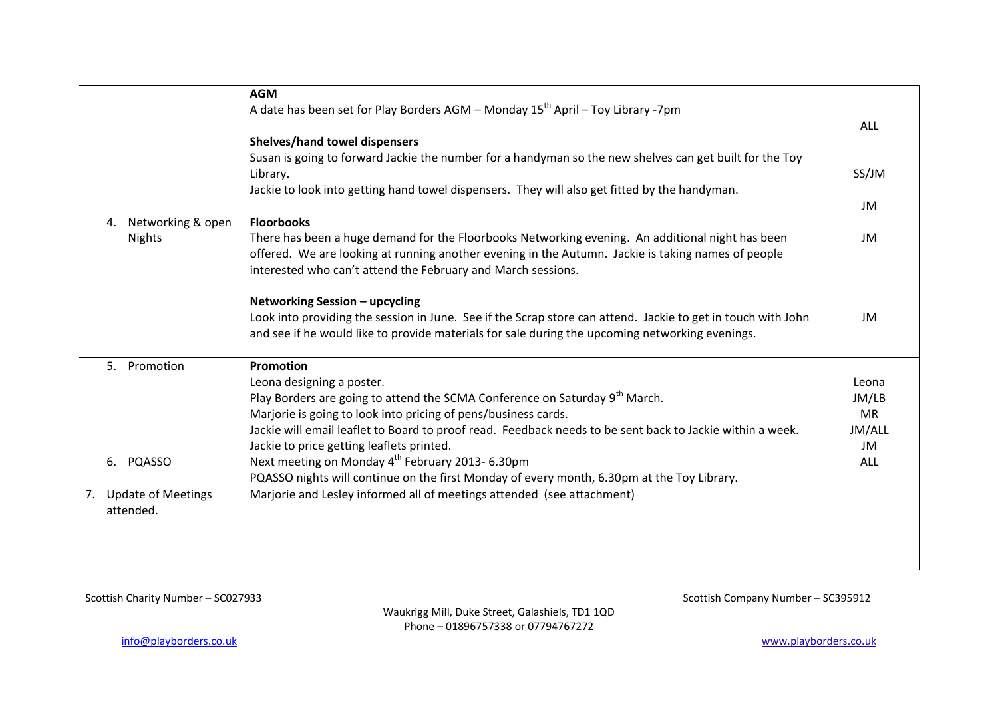|                                 | <b>AGM</b>                                                                                                   |            |
|---------------------------------|--------------------------------------------------------------------------------------------------------------|------------|
|                                 |                                                                                                              |            |
|                                 | A date has been set for Play Borders AGM - Monday $15^{th}$ April - Toy Library -7pm                         |            |
|                                 |                                                                                                              | <b>ALL</b> |
|                                 | <b>Shelves/hand towel dispensers</b>                                                                         |            |
|                                 | Susan is going to forward Jackie the number for a handyman so the new shelves can get built for the Toy      |            |
|                                 | Library.                                                                                                     | SS/JM      |
|                                 | Jackie to look into getting hand towel dispensers. They will also get fitted by the handyman.                |            |
|                                 |                                                                                                              | JM         |
| Networking & open<br>4.         | <b>Floorbooks</b>                                                                                            |            |
| <b>Nights</b>                   | There has been a huge demand for the Floorbooks Networking evening. An additional night has been             | JM         |
|                                 | offered. We are looking at running another evening in the Autumn. Jackie is taking names of people           |            |
|                                 | interested who can't attend the February and March sessions.                                                 |            |
|                                 |                                                                                                              |            |
|                                 | Networking Session - upcycling                                                                               |            |
|                                 | Look into providing the session in June. See if the Scrap store can attend. Jackie to get in touch with John | JM         |
|                                 | and see if he would like to provide materials for sale during the upcoming networking evenings.              |            |
|                                 |                                                                                                              |            |
| 5. Promotion                    | Promotion                                                                                                    |            |
|                                 | Leona designing a poster.                                                                                    | Leona      |
|                                 | Play Borders are going to attend the SCMA Conference on Saturday 9 <sup>th</sup> March.                      | JM/LB      |
|                                 | Marjorie is going to look into pricing of pens/business cards.                                               | <b>MR</b>  |
|                                 | Jackie will email leaflet to Board to proof read. Feedback needs to be sent back to Jackie within a week.    | JM/ALL     |
|                                 |                                                                                                              | JM         |
|                                 | Jackie to price getting leaflets printed.                                                                    |            |
| PQASSO<br>6.                    | Next meeting on Monday 4 <sup>th</sup> February 2013- 6.30pm                                                 | <b>ALL</b> |
|                                 | PQASSO nights will continue on the first Monday of every month, 6.30pm at the Toy Library.                   |            |
| <b>Update of Meetings</b><br>7. | Marjorie and Lesley informed all of meetings attended (see attachment)                                       |            |
| attended.                       |                                                                                                              |            |
|                                 |                                                                                                              |            |
|                                 |                                                                                                              |            |
|                                 |                                                                                                              |            |
|                                 |                                                                                                              |            |

Scottish Charity Number – SC027933 Scottish Company Number – SC395912

Waukrigg Mill, Duke Street, Galashiels, TD1 1QD Phone – 01896757338 or 07794767272